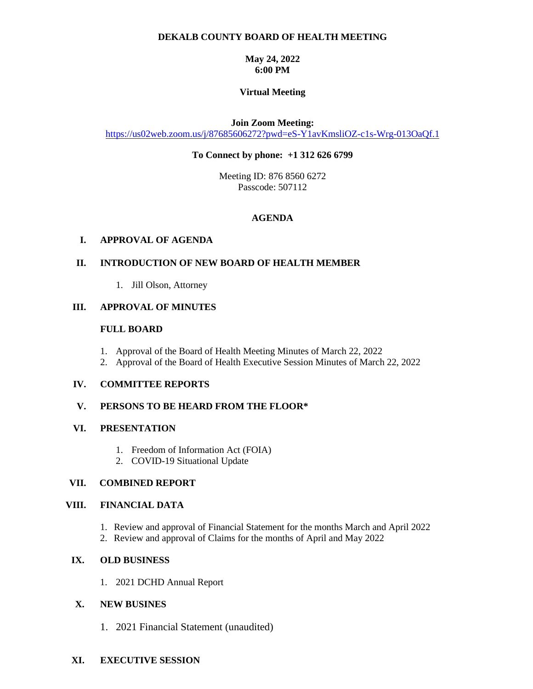### **DEKALB COUNTY BOARD OF HEALTH MEETING**

## **May 24, 2022 6:00 PM**

## **Virtual Meeting**

## **Join Zoom Meeting:**

<https://us02web.zoom.us/j/87685606272?pwd=eS-Y1avKmsliOZ-c1s-Wrg-013OaQf.1>

## **To Connect by phone: +1 312 626 6799**

Meeting ID: 876 8560 6272 Passcode: 507112

# **AGENDA**

### **I. APPROVAL OF AGENDA**

## **II. INTRODUCTION OF NEW BOARD OF HEALTH MEMBER**

1. Jill Olson, Attorney

### **III. APPROVAL OF MINUTES**

#### **FULL BOARD**

- 1. Approval of the Board of Health Meeting Minutes of March 22, 2022
- 2. Approval of the Board of Health Executive Session Minutes of March 22, 2022

#### **IV. COMMITTEE REPORTS**

## **V. PERSONS TO BE HEARD FROM THE FLOOR\***

#### **VI. PRESENTATION**

- 1. Freedom of Information Act (FOIA)
- 2. COVID-19 Situational Update

## **VII. COMBINED REPORT**

#### **VIII. FINANCIAL DATA**

- 1. Review and approval of Financial Statement for the months March and April 2022
- 2. Review and approval of Claims for the months of April and May 2022

## **IX. OLD BUSINESS**

1. 2021 DCHD Annual Report

## **X. NEW BUSINES**

- 1. 2021 Financial Statement (unaudited)
- **XI. EXECUTIVE SESSION**